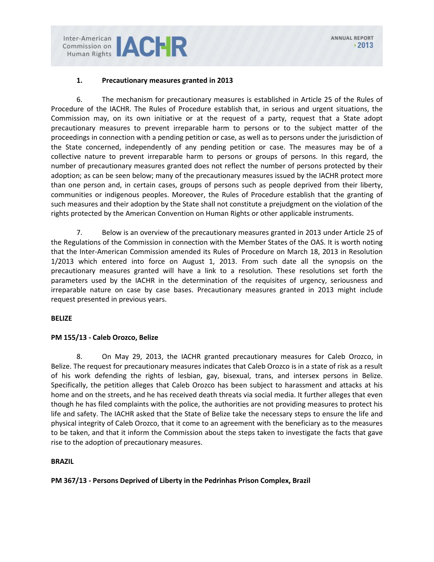Inter-American<br>
Human Rights **JACHR** 

## **1. Precautionary measures granted in 2013**

6. The mechanism for precautionary measures is established in Article 25 of the Rules of Procedure of the IACHR. The Rules of Procedure establish that, in serious and urgent situations, the Commission may, on its own initiative or at the request of a party, request that a State adopt precautionary measures to prevent irreparable harm to persons or to the subject matter of the proceedings in connection with a pending petition or case, as well as to persons under the jurisdiction of the State concerned, independently of any pending petition or case. The measures may be of a collective nature to prevent irreparable harm to persons or groups of persons. In this regard, the number of precautionary measures granted does not reflect the number of persons protected by their adoption; as can be seen below; many of the precautionary measures issued by the IACHR protect more than one person and, in certain cases, groups of persons such as people deprived from their liberty, communities or indigenous peoples. Moreover, the Rules of Procedure establish that the granting of such measures and their adoption by the State shall not constitute a prejudgment on the violation of the rights protected by the American Convention on Human Rights or other applicable instruments.

7. Below is an overview of the precautionary measures granted in 2013 under Article 25 of the Regulations of the Commission in connection with the Member States of the OAS. It is worth noting that the Inter-American Commission amended its Rules of Procedure on March 18, 2013 in Resolution 1/2013 which entered into force on August 1, 2013. From such date all the synopsis on the precautionary measures granted will have a link to a resolution. These resolutions set forth the parameters used by the IACHR in the determination of the requisites of urgency, seriousness and irreparable nature on case by case bases. Precautionary measures granted in 2013 might include request presented in previous years.

#### **BELIZE**

## **PM 155/13 - Caleb Orozco, Belize**

8. On May 29, 2013, the IACHR granted precautionary measures for Caleb Orozco, in Belize. The request for precautionary measures indicates that Caleb Orozco is in a state of risk as a result of his work defending the rights of lesbian, gay, bisexual, trans, and intersex persons in Belize. Specifically, the petition alleges that Caleb Orozco has been subject to harassment and attacks at his home and on the streets, and he has received death threats via social media. It further alleges that even though he has filed complaints with the police, the authorities are not providing measures to protect his life and safety. The IACHR asked that the State of Belize take the necessary steps to ensure the life and physical integrity of Caleb Orozco, that it come to an agreement with the beneficiary as to the measures to be taken, and that it inform the Commission about the steps taken to investigate the facts that gave rise to the adoption of precautionary measures.

#### **BRAZIL**

**PM 367/13 - Persons Deprived of Liberty in the Pedrinhas Prison Complex, Brazil**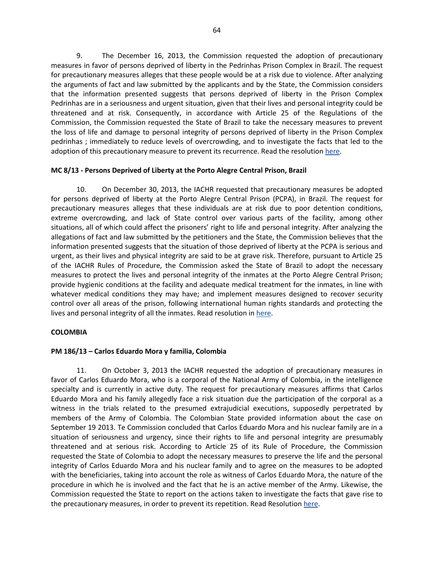9. The December 16, 2013, the Commission requested the adoption of precautionary measures in favor of persons deprived of liberty in the Pedrinhas Prison Complex in Brazil. The request for precautionary measures alleges that these people would be at a risk due to violence. After analyzing the arguments of fact and law submitted by the applicants and by the State, the Commission considers that the information presented suggests that persons deprived of liberty in the Prison Complex Pedrinhas are in a seriousness and urgent situation, given that their lives and personal integrity could be threatened and at risk. Consequently, in accordance with Article 25 of the Regulations of the Commission, the Commission requested the State of Brazil to take the necessary measures to prevent the loss of life and damage to personal integrity of persons deprived of liberty in the Prison Complex pedrinhas ; immediately to reduce levels of overcrowding, and to investigate the facts that led to the adoption of this precautionary measure to prevent its recurrence. Read the resolution [here.](http://www.oas.org/en/iachr/decisions/pdf/Resolution11-13(MC-367-13).pdf)

## **MC 8/13 - Persons Deprived of Liberty at the Porto Alegre Central Prison, Brazil**

10. On December 30, 2013, the IACHR requested that precautionary measures be adopted for persons deprived of liberty at the Porto Alegre Central Prison (PCPA), in Brazil. The request for precautionary measures alleges that these individuals are at risk due to poor detention conditions, extreme overcrowding, and lack of State control over various parts of the facility, among other situations, all of which could affect the prisoners' right to life and personal integrity. After analyzing the allegations of fact and law submitted by the petitioners and the State, the Commission believes that the information presented suggests that the situation of those deprived of liberty at the PCPA is serious and urgent, as their lives and physical integrity are said to be at grave risk. Therefore, pursuant to Article 25 of the IACHR Rules of Procedure, the Commission asked the State of Brazil to adopt the necessary measures to protect the lives and personal integrity of the inmates at the Porto Alegre Central Prison; provide hygienic conditions at the facility and adequate medical treatment for the inmates, in line with whatever medical conditions they may have; and implement measures designed to recover security control over all areas of the prison, following international human rights standards and protecting the lives and personal integrity of all the inmates. Read resolution i[n here.](http://www.oas.org/en/iachr/decisions/pdf/Resolution14-13(MC-8-13).pdf)

#### **COLOMBIA**

#### **PM 186/13 – Carlos Eduardo Mora y familia, Colombia**

11. On October 3, 2013 the IACHR requested the adoption of precautionary measures in favor of Carlos Eduardo Mora, who is a corporal of the National Army of Colombia, in the intelligence specialty and is currently in active duty. The request for precautionary measures affirms that Carlos Eduardo Mora and his family allegedly face a risk situation due the participation of the corporal as a witness in the trials related to the presumed extrajudicial executions, supposedly perpetrated by members of the Army of Colombia. The Colombian State provided information about the case on September 19 2013. Te Commission concluded that Carlos Eduardo Mora and his nuclear family are in a situation of seriousness and urgency, since their rights to life and personal integrity are presumably threatened and at serious risk. According to Article 25 of its Rule of Procedure, the Commission requested the State of Colombia to adopt the necessary measures to preserve the life and the personal integrity of Carlos Eduardo Mora and his nuclear family and to agree on the measures to be adopted with the beneficiaries, taking into account the role as witness of Carlos Eduardo Mora, the nature of the procedure in which he is involved and the fact that he is an active member of the Army. Likewise, the Commission requested the State to report on the actions taken to investigate the facts that gave rise to the precautionary measures, in order to prevent its repetition. Read Resolutio[n here.](http://www.oas.org/en/iachr/decisions/pdf/Resolution3-13(MC-186-13).pdf)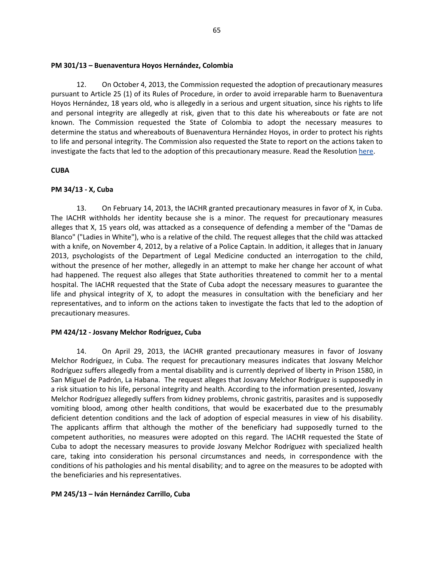## **PM 301/13 – Buenaventura Hoyos Hernández, Colombia**

12. On October 4, 2013, the Commission requested the adoption of precautionary measures pursuant to Article 25 (1) of its Rules of Procedure, in order to avoid irreparable harm to Buenaventura Hoyos Hernández, 18 years old, who is allegedly in a serious and urgent situation, since his rights to life and personal integrity are allegedly at risk, given that to this date his whereabouts or fate are not known. The Commission requested the State of Colombia to adopt the necessary measures to determine the status and whereabouts of Buenaventura Hernández Hoyos, in order to protect his rights to life and personal integrity. The Commission also requested the State to report on the actions taken to investigate the facts that led to the adoption of this precautionary measure. Read the Resolution [here.](http://www.oas.org/en/iachr/decisions/pdf/Resolution10-13(MC-304-13).pdf)

## **CUBA**

## **PM 34/13 - X, Cuba**

13. On February 14, 2013, the IACHR granted precautionary measures in favor of X, in Cuba. The IACHR withholds her identity because she is a minor. The request for precautionary measures alleges that X, 15 years old, was attacked as a consequence of defending a member of the "Damas de Blanco" ("Ladies in White"), who is a relative of the child. The request alleges that the child was attacked with a knife, on November 4, 2012, by a relative of a Police Captain. In addition, it alleges that in January 2013, psychologists of the Department of Legal Medicine conducted an interrogation to the child, without the presence of her mother, allegedly in an attempt to make her change her account of what had happened. The request also alleges that State authorities threatened to commit her to a mental hospital. The IACHR requested that the State of Cuba adopt the necessary measures to guarantee the life and physical integrity of X, to adopt the measures in consultation with the beneficiary and her representatives, and to inform on the actions taken to investigate the facts that led to the adoption of precautionary measures.

## **PM 424/12 - Josvany Melchor Rodríguez, Cuba**

14. On April 29, 2013, the IACHR granted precautionary measures in favor of Josvany Melchor Rodríguez, in Cuba. The request for precautionary measures indicates that Josvany Melchor Rodríguez suffers allegedly from a mental disability and is currently deprived of liberty in Prison 1580, in San Miguel de Padrón, La Habana. The request alleges that Josvany Melchor Rodríguez is supposedly in a risk situation to his life, personal integrity and health. According to the information presented, Josvany Melchor Rodríguez allegedly suffers from kidney problems, chronic gastritis, parasites and is supposedly vomiting blood, among other health conditions, that would be exacerbated due to the presumably deficient detention conditions and the lack of adoption of especial measures in view of his disability. The applicants affirm that although the mother of the beneficiary had supposedly turned to the competent authorities, no measures were adopted on this regard. The IACHR requested the State of Cuba to adopt the necessary measures to provide Josvany Melchor Rodríguez with specialized health care, taking into consideration his personal circumstances and needs, in correspondence with the conditions of his pathologies and his mental disability; and to agree on the measures to be adopted with the beneficiaries and his representatives.

## **PM 245/13 – Iván Hernández Carrillo, Cuba**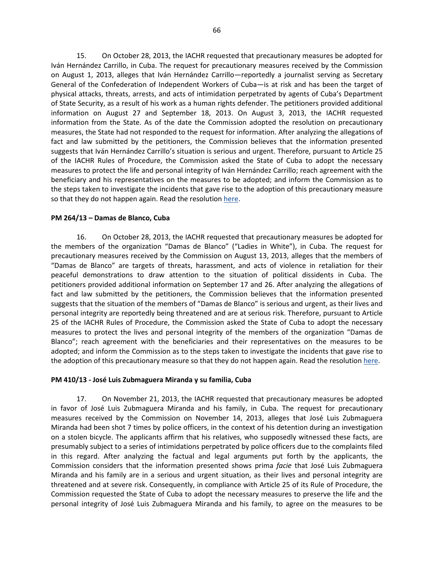15. On October 28, 2013, the IACHR requested that precautionary measures be adopted for Iván Hernández Carrillo, in Cuba. The request for precautionary measures received by the Commission on August 1, 2013, alleges that Iván Hernández Carrillo—reportedly a journalist serving as Secretary General of the Confederation of Independent Workers of Cuba—is at risk and has been the target of physical attacks, threats, arrests, and acts of intimidation perpetrated by agents of Cuba's Department of State Security, as a result of his work as a human rights defender. The petitioners provided additional information on August 27 and September 18, 2013. On August 3, 2013, the IACHR requested information from the State. As of the date the Commission adopted the resolution on precautionary measures, the State had not responded to the request for information. After analyzing the allegations of fact and law submitted by the petitioners, the Commission believes that the information presented suggests that Iván Hernández Carrillo's situation is serious and urgent. Therefore, pursuant to Article 25 of the IACHR Rules of Procedure, the Commission asked the State of Cuba to adopt the necessary measures to protect the life and personal integrity of Iván Hernández Carrillo; reach agreement with the beneficiary and his representatives on the measures to be adopted; and inform the Commission as to the steps taken to investigate the incidents that gave rise to the adoption of this precautionary measure so that they do not happen again. Read the resolutio[n here.](http://www.oas.org/en/iachr/decisions/pdf/Resolution5-13(MC-245-13).pdf)

## **PM 264/13 – Damas de Blanco, Cuba**

16. On October 28, 2013, the IACHR requested that precautionary measures be adopted for the members of the organization "Damas de Blanco" ("Ladies in White"), in Cuba. The request for precautionary measures received by the Commission on August 13, 2013, alleges that the members of "Damas de Blanco" are targets of threats, harassment, and acts of violence in retaliation for their peaceful demonstrations to draw attention to the situation of political dissidents in Cuba. The petitioners provided additional information on September 17 and 26. After analyzing the allegations of fact and law submitted by the petitioners, the Commission believes that the information presented suggests that the situation of the members of "Damas de Blanco" is serious and urgent, as their lives and personal integrity are reportedly being threatened and are at serious risk. Therefore, pursuant to Article 25 of the IACHR Rules of Procedure, the Commission asked the State of Cuba to adopt the necessary measures to protect the lives and personal integrity of the members of the organization "Damas de Blanco"; reach agreement with the beneficiaries and their representatives on the measures to be adopted; and inform the Commission as to the steps taken to investigate the incidents that gave rise to the adoption of this precautionary measure so that they do not happen again. Read the resolution [here.](http://www.oas.org/en/iachr/decisions/pdf/Resolution6-13(MC-264-13).pdf)

#### **PM 410/13 - José Luis Zubmaguera Miranda y su familia, Cuba**

17. On November 21, 2013, the IACHR requested that precautionary measures be adopted in favor of José Luis Zubmaguera Miranda and his family, in Cuba. The request for precautionary measures received by the Commission on November 14, 2013, alleges that José Luis Zubmaguera Miranda had been shot 7 times by police officers, in the context of his detention during an investigation on a stolen bicycle. The applicants affirm that his relatives, who supposedly witnessed these facts, are presumably subject to a series of intimidations perpetrated by police officers due to the complaints filed in this regard. After analyzing the factual and legal arguments put forth by the applicants, the Commission considers that the information presented shows prima *facie* that José Luis Zubmaguera Miranda and his family are in a serious and urgent situation, as their lives and personal integrity are threatened and at severe risk. Consequently, in compliance with Article 25 of its Rule of Procedure, the Commission requested the State of Cuba to adopt the necessary measures to preserve the life and the personal integrity of José Luis Zubmaguera Miranda and his family, to agree on the measures to be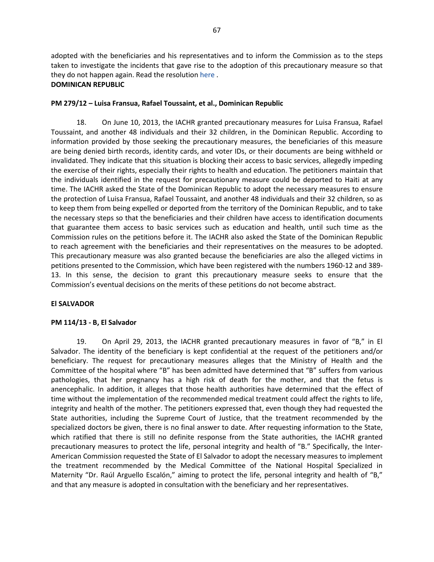adopted with the beneficiaries and his representatives and to inform the Commission as to the steps taken to investigate the incidents that gave rise to the adoption of this precautionary measure so that they do not happen again. Read the resolution [here](http://www.oas.org/en/iachr/decisions/pdf/Resolution9-13(MC-410-13).pdf) .

#### **DOMINICAN REPUBLIC**

## **PM 279/12 – Luisa Fransua, Rafael Toussaint, et al., Dominican Republic**

18. On June 10, 2013, the IACHR granted precautionary measures for Luisa Fransua, Rafael Toussaint, and another 48 individuals and their 32 children, in the Dominican Republic. According to information provided by those seeking the precautionary measures, the beneficiaries of this measure are being denied birth records, identity cards, and voter IDs, or their documents are being withheld or invalidated. They indicate that this situation is blocking their access to basic services, allegedly impeding the exercise of their rights, especially their rights to health and education. The petitioners maintain that the individuals identified in the request for precautionary measure could be deported to Haiti at any time. The IACHR asked the State of the Dominican Republic to adopt the necessary measures to ensure the protection of Luisa Fransua, Rafael Toussaint, and another 48 individuals and their 32 children, so as to keep them from being expelled or deported from the territory of the Dominican Republic, and to take the necessary steps so that the beneficiaries and their children have access to identification documents that guarantee them access to basic services such as education and health, until such time as the Commission rules on the petitions before it. The IACHR also asked the State of the Dominican Republic to reach agreement with the beneficiaries and their representatives on the measures to be adopted. This precautionary measure was also granted because the beneficiaries are also the alleged victims in petitions presented to the Commission, which have been registered with the numbers 1960-12 and 389- 13. In this sense, the decision to grant this precautionary measure seeks to ensure that the Commission's eventual decisions on the merits of these petitions do not become abstract.

#### **El SALVADOR**

#### **PM 114/13 - B, El Salvador**

19. On April 29, 2013, the IACHR granted precautionary measures in favor of "B," in El Salvador. The identity of the beneficiary is kept confidential at the request of the petitioners and/or beneficiary. The request for precautionary measures alleges that the Ministry of Health and the Committee of the hospital where "B" has been admitted have determined that "B" suffers from various pathologies, that her pregnancy has a high risk of death for the mother, and that the fetus is anencephalic. In addition, it alleges that those health authorities have determined that the effect of time without the implementation of the recommended medical treatment could affect the rights to life, integrity and health of the mother. The petitioners expressed that, even though they had requested the State authorities, including the Supreme Court of Justice, that the treatment recommended by the specialized doctors be given, there is no final answer to date. After requesting information to the State, which ratified that there is still no definite response from the State authorities, the IACHR granted precautionary measures to protect the life, personal integrity and health of "B." Specifically, the Inter-American Commission requested the State of El Salvador to adopt the necessary measures to implement the treatment recommended by the Medical Committee of the National Hospital Specialized in Maternity "Dr. Raúl Arguello Escalón," aiming to protect the life, personal integrity and health of "B," and that any measure is adopted in consultation with the beneficiary and her representatives.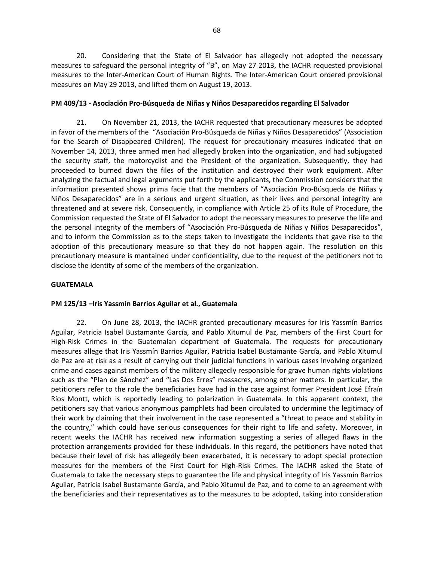20. Considering that the State of El Salvador has allegedly not adopted the necessary measures to safeguard the personal integrity of "B", on May 27 2013, the IACHR requested provisional measures to the Inter-American Court of Human Rights. The Inter-American Court ordered provisional measures on May 29 2013, and lifted them on August 19, 2013.

## **PM 409/13 - Asociación Pro-Búsqueda de Niñas y Niños Desaparecidos regarding El Salvador**

21. On November 21, 2013, the IACHR requested that precautionary measures be adopted in favor of the members of the "Asociación Pro-Búsqueda de Niñas y Niños Desaparecidos" (Association for the Search of Disappeared Children). The request for precautionary measures indicated that on November 14, 2013, three armed men had allegedly broken into the organization, and had subjugated the security staff, the motorcyclist and the President of the organization. Subsequently, they had proceeded to burned down the files of the institution and destroyed their work equipment. After analyzing the factual and legal arguments put forth by the applicants, the Commission considers that the information presented shows prima facie that the members of "Asociación Pro-Búsqueda de Niñas y Niños Desaparecidos" are in a serious and urgent situation, as their lives and personal integrity are threatened and at severe risk. Consequently, in compliance with Article 25 of its Rule of Procedure, the Commission requested the State of El Salvador to adopt the necessary measures to preserve the life and the personal integrity of the members of "Asociación Pro-Búsqueda de Niñas y Niños Desaparecidos", and to inform the Commission as to the steps taken to investigate the incidents that gave rise to the adoption of this precautionary measure so that they do not happen again. The resolution on this precautionary measure is mantained under confidentiality, due to the request of the petitioners not to disclose the identity of some of the members of the organization.

#### **GUATEMALA**

#### **PM 125/13 –Iris Yassmín Barrios Aguilar et al., Guatemala**

22. On June 28, 2013, the IACHR granted precautionary measures for Iris Yassmín Barrios Aguilar, Patricia Isabel Bustamante García, and Pablo Xitumul de Paz, members of the First Court for High-Risk Crimes in the Guatemalan department of Guatemala. The requests for precautionary measures allege that Iris Yassmín Barrios Aguilar, Patricia Isabel Bustamante García, and Pablo Xitumul de Paz are at risk as a result of carrying out their judicial functions in various cases involving organized crime and cases against members of the military allegedly responsible for grave human rights violations such as the "Plan de Sánchez" and "Las Dos Erres" massacres, among other matters. In particular, the petitioners refer to the role the beneficiaries have had in the case against former President José Efraín Ríos Montt, which is reportedly leading to polarization in Guatemala. In this apparent context, the petitioners say that various anonymous pamphlets had been circulated to undermine the legitimacy of their work by claiming that their involvement in the case represented a "threat to peace and stability in the country," which could have serious consequences for their right to life and safety. Moreover, in recent weeks the IACHR has received new information suggesting a series of alleged flaws in the protection arrangements provided for these individuals. In this regard, the petitioners have noted that because their level of risk has allegedly been exacerbated, it is necessary to adopt special protection measures for the members of the First Court for High-Risk Crimes. The IACHR asked the State of Guatemala to take the necessary steps to guarantee the life and physical integrity of Iris Yassmín Barrios Aguilar, Patricia Isabel Bustamante García, and Pablo Xitumul de Paz, and to come to an agreement with the beneficiaries and their representatives as to the measures to be adopted, taking into consideration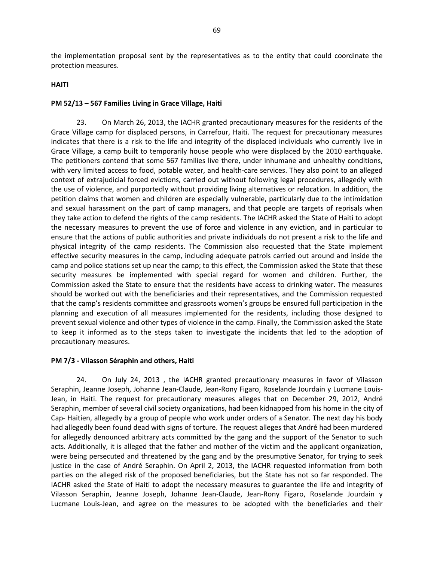the implementation proposal sent by the representatives as to the entity that could coordinate the protection measures.

#### **HAITI**

## **PM 52/13 – 567 Families Living in Grace Village, Haiti**

23. On March 26, 2013, the IACHR granted precautionary measures for the residents of the Grace Village camp for displaced persons, in Carrefour, Haiti. The request for precautionary measures indicates that there is a risk to the life and integrity of the displaced individuals who currently live in Grace Village, a camp built to temporarily house people who were displaced by the 2010 earthquake. The petitioners contend that some 567 families live there, under inhumane and unhealthy conditions, with very limited access to food, potable water, and health-care services. They also point to an alleged context of extrajudicial forced evictions, carried out without following legal procedures, allegedly with the use of violence, and purportedly without providing living alternatives or relocation. In addition, the petition claims that women and children are especially vulnerable, particularly due to the intimidation and sexual harassment on the part of camp managers, and that people are targets of reprisals when they take action to defend the rights of the camp residents. The IACHR asked the State of Haiti to adopt the necessary measures to prevent the use of force and violence in any eviction, and in particular to ensure that the actions of public authorities and private individuals do not present a risk to the life and physical integrity of the camp residents. The Commission also requested that the State implement effective security measures in the camp, including adequate patrols carried out around and inside the camp and police stations set up near the camp; to this effect, the Commission asked the State that these security measures be implemented with special regard for women and children. Further, the Commission asked the State to ensure that the residents have access to drinking water. The measures should be worked out with the beneficiaries and their representatives, and the Commission requested that the camp's residents committee and grassroots women's groups be ensured full participation in the planning and execution of all measures implemented for the residents, including those designed to prevent sexual violence and other types of violence in the camp. Finally, the Commission asked the State to keep it informed as to the steps taken to investigate the incidents that led to the adoption of precautionary measures.

#### **PM 7/3 - Vilasson Séraphin and others, Haiti**

24. On July 24, 2013 , the IACHR granted precautionary measures in favor of Vilasson Seraphin, Jeanne Joseph, Johanne Jean-Claude, Jean-Rony Figaro, Roselande Jourdain y Lucmane Louis-Jean, in Haiti. The request for precautionary measures alleges that on December 29, 2012, André Seraphin, member of several civil society organizations, had been kidnapped from his home in the city of Cap- Haitien, allegedly by a group of people who work under orders of a Senator. The next day his body had allegedly been found dead with signs of torture. The request alleges that André had been murdered for allegedly denounced arbitrary acts committed by the gang and the support of the Senator to such acts. Additionally, it is alleged that the father and mother of the victim and the applicant organization, were being persecuted and threatened by the gang and by the presumptive Senator, for trying to seek justice in the case of André Seraphin. On April 2, 2013, the IACHR requested information from both parties on the alleged risk of the proposed beneficiaries, but the State has not so far responded. The IACHR asked the State of Haiti to adopt the necessary measures to guarantee the life and integrity of Vilasson Seraphin, Jeanne Joseph, Johanne Jean-Claude, Jean-Rony Figaro, Roselande Jourdain y Lucmane Louis-Jean, and agree on the measures to be adopted with the beneficiaries and their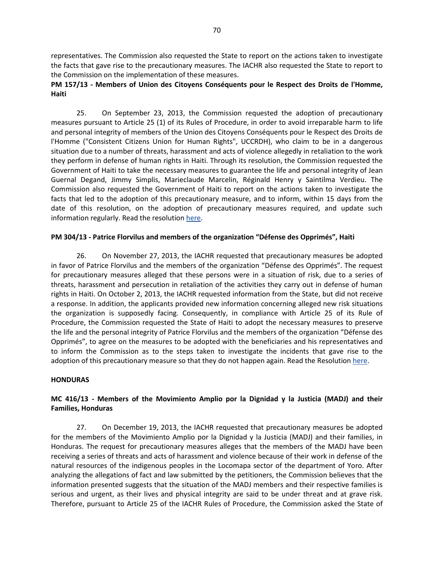representatives. The Commission also requested the State to report on the actions taken to investigate the facts that gave rise to the precautionary measures. The IACHR also requested the State to report to the Commission on the implementation of these measures.

## **PM 157/13 - Members of Union des Citoyens Conséquents pour le Respect des Droits de l'Homme, Haiti**

25. On September 23, 2013, the Commission requested the adoption of precautionary measures pursuant to Article 25 (1) of its Rules of Procedure, in order to avoid irreparable harm to life and personal integrity of members of the Union des Citoyens Conséquents pour le Respect des Droits de l'Homme ("Consistent Citizens Union for Human Rights", UCCRDH), who claim to be in a dangerous situation due to a number of threats, harassment and acts of violence allegedly in retaliation to the work they perform in defense of human rights in Haiti. Through its resolution, the Commission requested the Government of Haiti to take the necessary measures to guarantee the life and personal integrity of Jean Guernal Degand, Jimmy Simplis, Marieclaude Marcelin, Réginald Henry y Saintilma Verdieu. The Commission also requested the Government of Haiti to report on the actions taken to investigate the facts that led to the adoption of this precautionary measure, and to inform, within 15 days from the date of this resolution, on the adoption of precautionary measures required, and update such information regularly. Read the resolutio[n here.](http://www.oas.org/en/iachr/decisions/pdf/Resolution2-13(MC-157-13).pdf)

## **PM 304/13 - Patrice Florvilus and members of the organization "Défense des Opprimés", Haiti**

26. On November 27, 2013, the IACHR requested that precautionary measures be adopted in favor of Patrice Florvilus and the members of the organization "Défense des Opprimés". The request for precautionary measures alleged that these persons were in a situation of risk, due to a series of threats, harassment and persecution in retaliation of the activities they carry out in defense of human rights in Haiti. On October 2, 2013, the IACHR requested information from the State, but did not receive a response. In addition, the applicants provided new information concerning alleged new risk situations the organization is supposedly facing. Consequently, in compliance with Article 25 of its Rule of Procedure, the Commission requested the State of Haiti to adopt the necessary measures to preserve the life and the personal integrity of Patrice Florvilus and the members of the organization "Défense des Opprimés", to agree on the measures to be adopted with the beneficiaries and his representatives and to inform the Commission as to the steps taken to investigate the incidents that gave rise to the adoption of this precautionary measure so that they do not happen again. Read the Resolution [here.](http://www.oas.org/en/iachr/decisions/pdf/Resolution10-13(MC-304-13).pdf)

## **HONDURAS**

# **MC 416/13 - Members of the Movimiento Amplio por la Dignidad y la Justicia (MADJ) and their Families, Honduras**

27. On December 19, 2013, the IACHR requested that precautionary measures be adopted for the members of the Movimiento Amplio por la Dignidad y la Justicia (MADJ) and their families, in Honduras. The request for precautionary measures alleges that the members of the MADJ have been receiving a series of threats and acts of harassment and violence because of their work in defense of the natural resources of the indigenous peoples in the Locomapa sector of the department of Yoro. After analyzing the allegations of fact and law submitted by the petitioners, the Commission believes that the information presented suggests that the situation of the MADJ members and their respective families is serious and urgent, as their lives and physical integrity are said to be under threat and at grave risk. Therefore, pursuant to Article 25 of the IACHR Rules of Procedure, the Commission asked the State of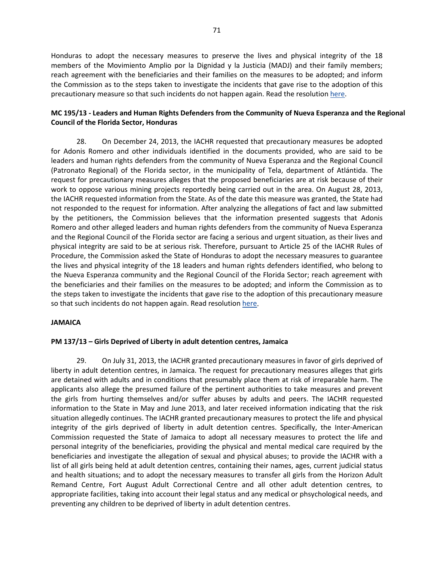Honduras to adopt the necessary measures to preserve the lives and physical integrity of the 18 members of the Movimiento Amplio por la Dignidad y la Justicia (MADJ) and their family members; reach agreement with the beneficiaries and their families on the measures to be adopted; and inform the Commission as to the steps taken to investigate the incidents that gave rise to the adoption of this precautionary measure so that such incidents do not happen again. Read the resolution [here.](http://www.oas.org/en/iachr/decisions/pdf/Resolution12-13(MC-416-13).pdf)

## **MC 195/13 - Leaders and Human Rights Defenders from the Community of Nueva Esperanza and the Regional Council of the Florida Sector, Honduras**

28. On December 24, 2013, the IACHR requested that precautionary measures be adopted for Adonis Romero and other individuals identified in the documents provided, who are said to be leaders and human rights defenders from the community of Nueva Esperanza and the Regional Council (Patronato Regional) of the Florida sector, in the municipality of Tela, department of Atlántida. The request for precautionary measures alleges that the proposed beneficiaries are at risk because of their work to oppose various mining projects reportedly being carried out in the area. On August 28, 2013, the IACHR requested information from the State. As of the date this measure was granted, the State had not responded to the request for information. After analyzing the allegations of fact and law submitted by the petitioners, the Commission believes that the information presented suggests that Adonis Romero and other alleged leaders and human rights defenders from the community of Nueva Esperanza and the Regional Council of the Florida sector are facing a serious and urgent situation, as their lives and physical integrity are said to be at serious risk. Therefore, pursuant to Article 25 of the IACHR Rules of Procedure, the Commission asked the State of Honduras to adopt the necessary measures to guarantee the lives and physical integrity of the 18 leaders and human rights defenders identified, who belong to the Nueva Esperanza community and the Regional Council of the Florida Sector; reach agreement with the beneficiaries and their families on the measures to be adopted; and inform the Commission as to the steps taken to investigate the incidents that gave rise to the adoption of this precautionary measure so that such incidents do not happen again. Read resolution [here.](http://www.oas.org/en/iachr/decisions/pdf/Resolution13-13(MC-195-13).pdf)

#### **JAMAICA**

## **PM 137/13 – Girls Deprived of Liberty in adult detention centres, Jamaica**

29. On July 31, 2013, the IACHR granted precautionary measures in favor of girls deprived of liberty in adult detention centres, in Jamaica. The request for precautionary measures alleges that girls are detained with adults and in conditions that presumably place them at risk of irreparable harm. The applicants also allege the presumed failure of the pertinent authorities to take measures and prevent the girls from hurting themselves and/or suffer abuses by adults and peers. The IACHR requested information to the State in May and June 2013, and later received information indicating that the risk situation allegedly continues. The IACHR granted precautionary measures to protect the life and physical integrity of the girls deprived of liberty in adult detention centres. Specifically, the Inter-American Commission requested the State of Jamaica to adopt all necessary measures to protect the life and personal integrity of the beneficiaries, providing the physical and mental medical care required by the beneficiaries and investigate the allegation of sexual and physical abuses; to provide the IACHR with a list of all girls being held at adult detention centres, containing their names, ages, current judicial status and health situations; and to adopt the necessary measures to transfer all girls from the Horizon Adult Remand Centre, Fort August Adult Correctional Centre and all other adult detention centres, to appropriate facilities, taking into account their legal status and any medical or phsychological needs, and preventing any children to be deprived of liberty in adult detention centres.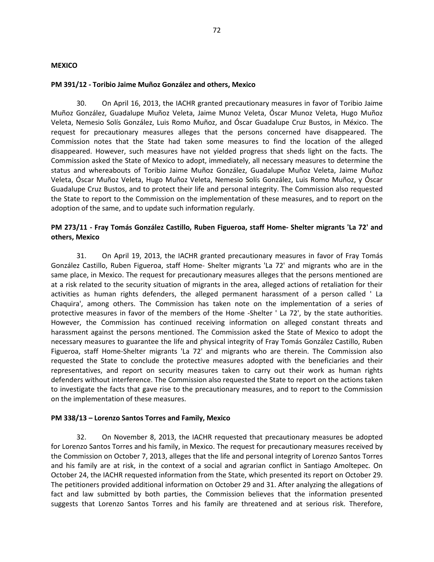#### **MEXICO**

#### **PM 391/12 - Toribio Jaime Muñoz González and others, Mexico**

30. On April 16, 2013, the IACHR granted precautionary measures in favor of Toribio Jaime Muñoz González, Guadalupe Muñoz Veleta, Jaime Munoz Veleta, Óscar Munoz Veleta, Hugo Muñoz Veleta, Nemesio Solís González, Luis Romo Muñoz, and Óscar Guadalupe Cruz Bustos, in México. The request for precautionary measures alleges that the persons concerned have disappeared. The Commission notes that the State had taken some measures to find the location of the alleged disappeared. However, such measures have not yielded progress that sheds light on the facts. The Commission asked the State of Mexico to adopt, immediately, all necessary measures to determine the status and whereabouts of Toribio Jaime Muñoz González, Guadalupe Muñoz Veleta, Jaime Muñoz Veleta, Óscar Muñoz Veleta, Hugo Muñoz Veleta, Nemesio Solís González, Luis Romo Muñoz, y Óscar Guadalupe Cruz Bustos, and to protect their life and personal integrity. The Commission also requested the State to report to the Commission on the implementation of these measures, and to report on the adoption of the same, and to update such information regularly.

## **PM 273/11 - Fray Tomás González Castillo, Ruben Figueroa, staff Home- Shelter migrants 'La 72' and others, Mexico**

31. On April 19, 2013, the IACHR granted precautionary measures in favor of Fray Tomás González Castillo, Ruben Figueroa, staff Home- Shelter migrants 'La 72' and migrants who are in the same place, in Mexico. The request for precautionary measures alleges that the persons mentioned are at a risk related to the security situation of migrants in the area, alleged actions of retaliation for their activities as human rights defenders, the alleged permanent harassment of a person called ' La Chaquira', among others. The Commission has taken note on the implementation of a series of protective measures in favor of the members of the Home -Shelter ' La 72', by the state authorities. However, the Commission has continued receiving information on alleged constant threats and harassment against the persons mentioned. The Commission asked the State of Mexico to adopt the necessary measures to guarantee the life and physical integrity of Fray Tomás González Castillo, Ruben Figueroa, staff Home-Shelter migrants 'La 72' and migrants who are therein. The Commission also requested the State to conclude the protective measures adopted with the beneficiaries and their representatives, and report on security measures taken to carry out their work as human rights defenders without interference. The Commission also requested the State to report on the actions taken to investigate the facts that gave rise to the precautionary measures, and to report to the Commission on the implementation of these measures.

#### **PM 338/13 – Lorenzo Santos Torres and Family, Mexico**

32. On November 8, 2013, the IACHR requested that precautionary measures be adopted for Lorenzo Santos Torres and his family, in Mexico. The request for precautionary measures received by the Commission on October 7, 2013, alleges that the life and personal integrity of Lorenzo Santos Torres and his family are at risk, in the context of a social and agrarian conflict in Santiago Amoltepec. On October 24, the IACHR requested information from the State, which presented its report on October 29. The petitioners provided additional information on October 29 and 31. After analyzing the allegations of fact and law submitted by both parties, the Commission believes that the information presented suggests that Lorenzo Santos Torres and his family are threatened and at serious risk. Therefore,